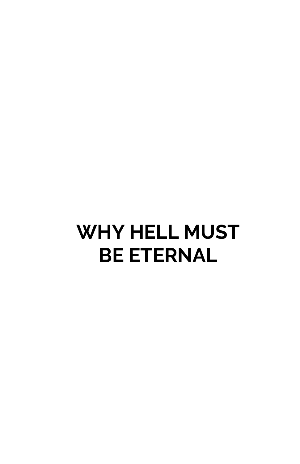## **WHY HELL MUST BE ETERNAL**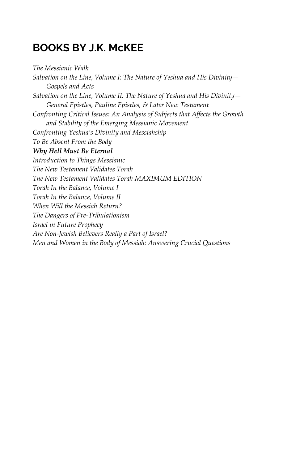### **BOOKS BY J.K. McKEE**

*The Messianic Walk* 

*Salvation on the Line, Volume I: The Nature of Yeshua and His Divinity— Gospels and Acts Salvation on the Line, Volume II: The Nature of Yeshua and His Divinity— General Epistles, Pauline Epistles, & Later New Testament Confronting Critical Issues: An Analysis of Subjects that Affects the Growth and Stability of the Emerging Messianic Movement Confronting Yeshua's Divinity and Messiahship To Be Absent From the Body Why Hell Must Be Eternal Introduction to Things Messianic The New Testament Validates Torah The New Testament Validates Torah MAXIMUM EDITION Torah In the Balance, Volume I Torah In the Balance, Volume II When Will the Messiah Return? The Dangers of Pre-Tribulationism Israel in Future Prophecy Are Non-Jewish Believers Really a Part of Israel? Men and Women in the Body of Messiah: Answering Crucial Questions*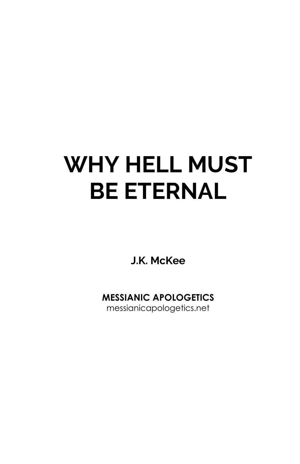# **WHY HELL MUST BE ETERNAL**

**J.K. McKee** 

**MESSIANIC APOLOGETICS** 

messianicapologetics.net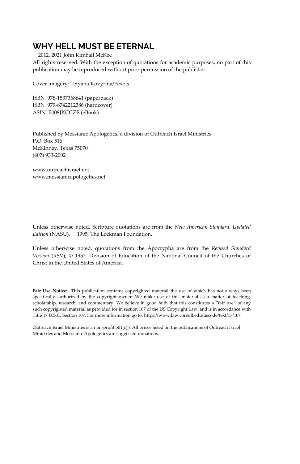### **WHY HELL MUST BE ETERNAL**

2012, 2021 John Kimball McKee

All rights reserved. With the exception of quotations for academic purposes, no part of this publication may be reproduced without prior permission of the publisher.

Cover imagery: Tetyana Kovyrina/Pexels

ISBN 978-1537368641 (paperback) ISBN 979-8742212386 (hardcover) ASIN B008JKCCZE (eBook)

Published by Messianic Apologetics, a division of Outreach Israel Ministries P.O. Box 516 McKinney, Texas 75070 (407) 933-2002

www.outreachisrael.net www.messianicapologetics.net

Unless otherwise noted, Scripture quotations are from the *New American Standard, Updated*  Edition (NASU), © 1995, The Lockman Foundation.

Unless otherwise noted, quotations from the Apocrypha are from the *Revised Standard Version* (RSV), © 1952, Division of Education of the National Council of the Churches of Christ in the United States of America.

**Fair Use Notice:** This publication contains copyrighted material the use of which has not always been specifically authorized by the copyright owner. We make use of this material as a matter of teaching, scholarship, research, and commentary. We believe in good faith that this constitutes a "fair use" of any such copyrighted material as provided for in section 107 of the US Copyright Law, and is in accordance with Title 17 U.S.C. Section 107. For more information go to: https://www.law.cornell.edu/uscode/text/17/107

Outreach Israel Ministries is a non-profit 501(c)3. All prices listed on the publications of Outreach Israel Ministries and Messianic Apologetics are suggested donations.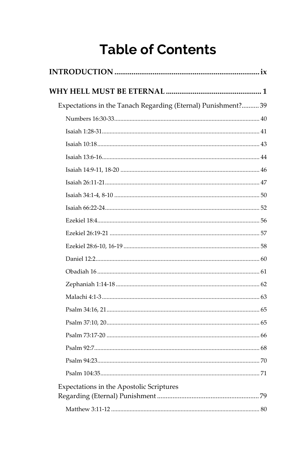### **Table of Contents**

| Expectations in the Tanach Regarding (Eternal) Punishment? 39 |
|---------------------------------------------------------------|
|                                                               |
|                                                               |
|                                                               |
|                                                               |
|                                                               |
|                                                               |
|                                                               |
|                                                               |
|                                                               |
|                                                               |
|                                                               |
|                                                               |
|                                                               |
|                                                               |
|                                                               |
|                                                               |
|                                                               |
|                                                               |
|                                                               |
|                                                               |
|                                                               |
| Expectations in the Apostolic Scriptures                      |
|                                                               |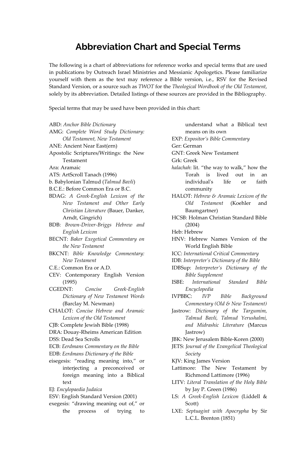### **Abbreviation Chart and Special Terms**

The following is a chart of abbreviations for reference works and special terms that are used in publications by Outreach Israel Ministries and Messianic Apologetics. Please familiarize yourself with them as the text may reference a Bible version, i.e., RSV for the Revised Standard Version, or a source such as *TWOT* for the *Theological Wordbook of the Old Testament*, solely by its abbreviation. Detailed listings of these sources are provided in the Bibliography.

Special terms that may be used have been provided in this chart:

- ABD: *Anchor Bible Dictionary*
- AMG: *Complete Word Study Dictionary: Old Testament, New Testament*
- ANE: Ancient Near East(ern)
- Apostolic Scriptures/Writings: the New Testament
- Ara: Aramaic
- ATS: ArtScroll Tanach (1996)
- b. Babylonian Talmud (*Talmud Bavli*)
- B.C.E.: Before Common Era or B.C.
- BDAG: *A Greek-English Lexicon of the New Testament and Other Early Christian Literature* (Bauer, Danker, Arndt, Gingrich)
- BDB: *Brown-Driver-Briggs Hebrew and English Lexicon*
- BECNT: *Baker Exegetical Commentary on the New Testament*
- BKCNT: *Bible Knowledge Commentary: New Testament*
- C.E.: Common Era or A.D.
- CEV: Contemporary English Version (1995)
- CGEDNT: *Concise Greek-English Dictionary of New Testament Words* (Barclay M. Newman)
- CHALOT: *Concise Hebrew and Aramaic Lexicon of the Old Testament*
- CJB: Complete Jewish Bible (1998)
- DRA: Douay-Rheims American Edition
- DSS: Dead Sea Scrolls
- ECB: *Eerdmans Commentary on the Bible*
- EDB: *Eerdmans Dictionary of the Bible*
- eisegesis: "reading meaning into," or interjecting a preconceived or foreign meaning into a Biblical text
- EJ: *Encylopaedia Judaica*
- ESV: English Standard Version (2001)
- exegesis: "drawing meaning out of," or
	- the process of trying to
- understand what a Biblical text means on its own EXP: *Expositor's Bible Commentary* Ger: German GNT: Greek New Testament Grk: Greek *halachah*: lit. "the way to walk," how the Torah is lived out in an individual's life or faith community HALOT: *Hebrew & Aramaic Lexicon of the Old Testament* (Koehler and Baumgartner) HCSB: Holman Christian Standard Bible (2004) Heb: Hebrew HNV: Hebrew Names Version of the World English Bible ICC: *International Critical Commentary*  IDB: *Interpreter's Dictionary of the Bible* IDBSup: *Interpreter's Dictionary of the Bible Supplement*  ISBE: *International Standard Bible Encyclopedia* IVPBBC: *IVP Bible Background Commentary (Old & New Testament)*
- Jastrow: *Dictionary of the Targumim, Talmud Bavli, Talmud Yerushalmi, and Midrashic Literature* (Marcus Jastrow)
- JBK: New Jerusalem Bible-Koren (2000)
- JETS: *Journal of the Evangelical Theological Society*
- KJV: King James Version
- Lattimore: The New Testament by Richmond Lattimore (1996)
- LITV: *Literal Translation of the Holy Bible* by Jay P. Green (1986)
- LS: *A Greek-English Lexicon* (Liddell & Scott)
- LXE: *Septuagint with Apocrypha* by Sir L.C.L. Brenton (1851)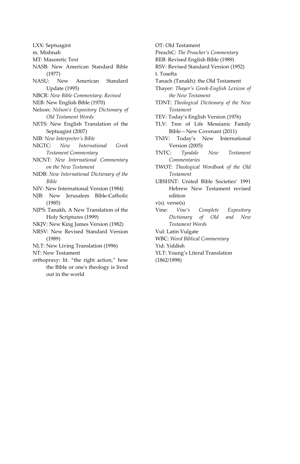LXX: Septuagint

m. Mishnah

- MT: Masoretic Text
- NASB: New American Standard Bible (1977)
- NASU: New American Standard Update (1995)
- NBCR: *New Bible Commentary: Revised*
- NEB: New English Bible (1970)
- Nelson: *Nelson's Expository Dictionary of Old Testament Words*
- NETS: New English Translation of the Septuagint (2007)
- NIB: *New Interpreter's Bible*
- NIGTC: *New International Greek Testament Commentary*
- NICNT: *New International Commentary on the New Testament*
- NIDB: *New International Dictionary of the Bible*
- NIV: New International Version (1984)
- NJB: New Jerusalem Bible-Catholic (1985)
- NJPS: Tanakh, A New Translation of the Holy Scriptures (1999)
- NKJV: New King James Version (1982)
- NRSV: New Revised Standard Version (1989)
- NLT: New Living Translation (1996)

NT: New Testament

- orthopraxy: lit. "the right action," how the Bible or one's theology is lived out in the world
- PreachC: *The Preacher's Commentary*  REB: Revised English Bible (1989) RSV: Revised Standard Version (1952) t. Tosefta Tanach (Tanakh): the Old Testament Thayer: *Thayer's Greek-English Lexicon of the New Testament* TDNT: *Theological Dictionary of the New Testament* TEV: Today's English Version (1976) TLV: Tree of Life Messianic Family Bible—New Covenant (2011) TNIV: Today's New International Version (2005) TNTC: *Tyndale New Testament Commentaries*  TWOT: *Theological Wordbook of the Old Testament* UBSHNT: United Bible Societies' 1991 Hebrew New Testament revised edition v(s). verse(s) Vine: *Vine's Complete Expository Dictionary of Old and New Testament Words*  Vul: Latin Vulgate WBC: *Word Biblical Commentary* Yid: Yiddish YLT: Young's Literal Translation (1862/1898)

OT: Old Testament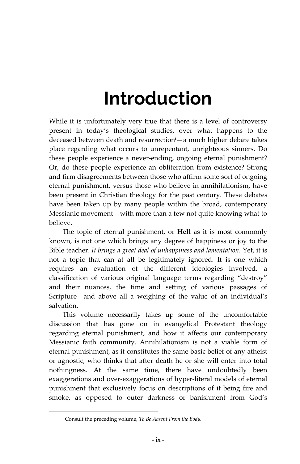## **Introduction**

While it is unfortunately very true that there is a level of controversy present in today's theological studies, over what happens to the deceased between death and resurrection**i**—a much higher debate takes place regarding what occurs to unrepentant, unrighteous sinners. Do these people experience a never-ending, ongoing eternal punishment? Or, do these people experience an obliteration from existence? Strong and firm disagreements between those who affirm some sort of ongoing eternal punishment, versus those who believe in annihilationism, have been present in Christian theology for the past century. These debates have been taken up by many people within the broad, contemporary Messianic movement—with more than a few not quite knowing what to believe.

The topic of eternal punishment, or **Hell** as it is most commonly known, is not one which brings any degree of happiness or joy to the Bible teacher. *It brings a great deal of unhappiness and lamentation.* Yet, it is not a topic that can at all be legitimately ignored. It is one which requires an evaluation of the different ideologies involved, a classification of various original language terms regarding "destroy" and their nuances, the time and setting of various passages of Scripture—and above all a weighing of the value of an individual's salvation.

This volume necessarily takes up some of the uncomfortable discussion that has gone on in evangelical Protestant theology regarding eternal punishment, and how it affects our contemporary Messianic faith community. Annihilationism is not a viable form of eternal punishment, as it constitutes the same basic belief of any atheist or agnostic, who thinks that after death he or she will enter into total nothingness. At the same time, there have undoubtedly been exaggerations and over-exaggerations of hyper-literal models of eternal punishment that exclusively focus on descriptions of it being fire and smoke, as opposed to outer darkness or banishment from God's

**i** Consult the preceding volume, *To Be Absent From the Body.*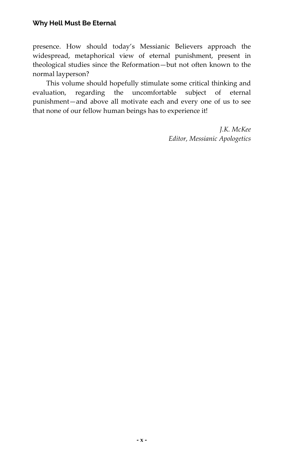presence. How should today's Messianic Believers approach the widespread, metaphorical view of eternal punishment, present in theological studies since the Reformation—but not often known to the normal layperson?

This volume should hopefully stimulate some critical thinking and evaluation, regarding the uncomfortable subject of eternal punishment—and above all motivate each and every one of us to see that none of our fellow human beings has to experience it!

> *J.K. McKee Editor, Messianic Apologetics*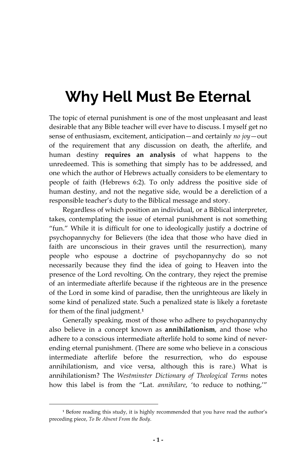The topic of eternal punishment is one of the most unpleasant and least desirable that any Bible teacher will ever have to discuss. I myself get no sense of enthusiasm, excitement, anticipation—and certainly *no joy*—out of the requirement that any discussion on death, the afterlife, and human destiny **requires an analysis** of what happens to the unredeemed. This is something that simply has to be addressed, and one which the author of Hebrews actually considers to be elementary to people of faith (Hebrews 6:2). To only address the positive side of human destiny, and not the negative side, would be a dereliction of a responsible teacher's duty to the Biblical message and story.

Regardless of which position an individual, or a Biblical interpreter, takes, contemplating the issue of eternal punishment is not something "fun." While it is difficult for one to ideologically justify a doctrine of psychopannychy for Believers (the idea that those who have died in faith are unconscious in their graves until the resurrection), many people who espouse a doctrine of psychopannychy do so not necessarily because they find the idea of going to Heaven into the presence of the Lord revolting. On the contrary, they reject the premise of an intermediate afterlife because if the righteous are in the presence of the Lord in some kind of paradise, then the unrighteous are likely in some kind of penalized state. Such a penalized state is likely a foretaste for them of the final judgment.**<sup>1</sup>**

Generally speaking, most of those who adhere to psychopannychy also believe in a concept known as **annihilationism**, and those who adhere to a conscious intermediate afterlife hold to some kind of neverending eternal punishment. (There are some who believe in a conscious intermediate afterlife before the resurrection, who do espouse annihilationism, and vice versa, although this is rare.) What is annihilationism? The *Westminster Dictionary of Theological Terms* notes how this label is from the "Lat. *annihilare*, 'to reduce to nothing,'"

**<sup>1</sup>** Before reading this study, it is highly recommended that you have read the author's preceding piece, *To Be Absent From the Body*.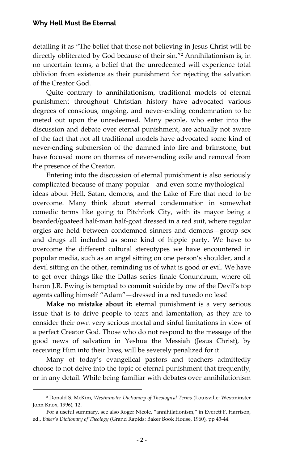detailing it as "The belief that those not believing in Jesus Christ will be directly obliterated by God because of their sin."**<sup>2</sup>** Annihilationism is, in no uncertain terms, a belief that the unredeemed will experience total oblivion from existence as their punishment for rejecting the salvation of the Creator God.

Quite contrary to annihilationism, traditional models of eternal punishment throughout Christian history have advocated various degrees of conscious, ongoing, and never-ending condemnation to be meted out upon the unredeemed. Many people, who enter into the discussion and debate over eternal punishment, are actually not aware of the fact that not all traditional models have advocated some kind of never-ending submersion of the damned into fire and brimstone, but have focused more on themes of never-ending exile and removal from the presence of the Creator.

Entering into the discussion of eternal punishment is also seriously complicated because of many popular—and even some mythological ideas about Hell, Satan, demons, and the Lake of Fire that need to be overcome. Many think about eternal condemnation in somewhat comedic terms like going to Pitchfork City, with its mayor being a bearded/goateed half-man half-goat dressed in a red suit, where regular orgies are held between condemned sinners and demons—group sex and drugs all included as some kind of hippie party. We have to overcome the different cultural stereotypes we have encountered in popular media, such as an angel sitting on one person's shoulder, and a devil sitting on the other, reminding us of what is good or evil. We have to get over things like the Dallas series finale Conundrum, where oil baron J.R. Ewing is tempted to commit suicide by one of the Devil's top agents calling himself "Adam"—dressed in a red tuxedo no less!

**Make no mistake about it:** eternal punishment is a very serious issue that is to drive people to tears and lamentation, as they are to consider their own very serious mortal and sinful limitations in view of a perfect Creator God. Those who do not respond to the message of the good news of salvation in Yeshua the Messiah (Jesus Christ), by receiving Him into their lives, will be severely penalized for it.

Many of today's evangelical pastors and teachers admittedly choose to not delve into the topic of eternal punishment that frequently, or in any detail. While being familiar with debates over annihilationism

**<sup>2</sup>** Donald S. McKim, *Westminster Dictionary of Theological Terms* (Louisville: Westminster John Knox, 1996), 12.

For a useful summary, see also Roger Nicole, "annihilationism," in Everett F. Harrison, ed., *Baker's Dictionary of Theology* (Grand Rapids: Baker Book House, 1960), pp 43-44.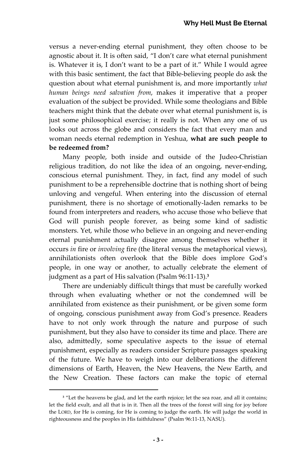versus a never-ending eternal punishment, they often choose to be agnostic about it. It is often said, "I don't care what eternal punishment is. Whatever it is, I don't want to be a part of it." While I would agree with this basic sentiment, the fact that Bible-believing people do ask the question about what eternal punishment is, and more importantly *what human beings need salvation from*, makes it imperative that a proper evaluation of the subject be provided. While some theologians and Bible teachers might think that the debate over what eternal punishment is, is just some philosophical exercise; it really is not. When any one of us looks out across the globe and considers the fact that every man and woman needs eternal redemption in Yeshua, **what are such people to be redeemed from?**

Many people, both inside and outside of the Judeo-Christian religious tradition, do not like the idea of an ongoing, never-ending, conscious eternal punishment. They, in fact, find any model of such punishment to be a reprehensible doctrine that is nothing short of being unloving and vengeful. When entering into the discussion of eternal punishment, there is no shortage of emotionally-laden remarks to be found from interpreters and readers, who accuse those who believe that God will punish people forever, as being some kind of sadistic monsters. Yet, while those who believe in an ongoing and never-ending eternal punishment actually disagree among themselves whether it occurs *in* fire or *involving* fire (the literal versus the metaphorical views), annihilationists often overlook that the Bible does implore God's people, in one way or another, to actually celebrate the element of judgment as a part of His salvation (Psalm 96:11-13).**<sup>3</sup>**

There are undeniably difficult things that must be carefully worked through when evaluating whether or not the condemned will be annihilated from existence as their punishment, or be given some form of ongoing, conscious punishment away from God's presence. Readers have to not only work through the nature and purpose of such punishment, but they also have to consider its time and place. There are also, admittedly, some speculative aspects to the issue of eternal punishment, especially as readers consider Scripture passages speaking of the future. We have to weigh into our deliberations the different dimensions of Earth, Heaven, the New Heavens, the New Earth, and the New Creation. These factors can make the topic of eternal

<sup>&</sup>lt;sup>3</sup> "Let the heavens be glad, and let the earth rejoice; let the sea roar, and all it contains; let the field exult, and all that is in it. Then all the trees of the forest will sing for joy before the LORD, for He is coming, for He is coming to judge the earth. He will judge the world in righteousness and the peoples in His faithfulness" (Psalm 96:11-13, NASU).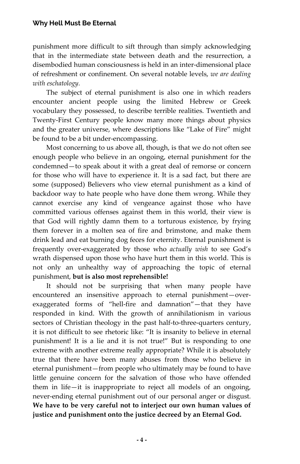punishment more difficult to sift through than simply acknowledging that in the intermediate state between death and the resurrection, a disembodied human consciousness is held in an inter-dimensional place of refreshment or confinement. On several notable levels, *we are dealing with eschatology.* 

The subject of eternal punishment is also one in which readers encounter ancient people using the limited Hebrew or Greek vocabulary they possessed, to describe terrible realities. Twentieth and Twenty-First Century people know many more things about physics and the greater universe, where descriptions like "Lake of Fire" might be found to be a bit under-encompassing.

Most concerning to us above all, though, is that we do not often see enough people who believe in an ongoing, eternal punishment for the condemned—to speak about it with a great deal of remorse or concern for those who will have to experience it. It is a sad fact, but there are some (supposed) Believers who view eternal punishment as a kind of backdoor way to hate people who have done them wrong. While they cannot exercise any kind of vengeance against those who have committed various offenses against them in this world, their view is that God will rightly damn them to a torturous existence, by frying them forever in a molten sea of fire and brimstone, and make them drink lead and eat burning dog feces for eternity. Eternal punishment is frequently over-exaggerated by those who *actually wish* to see God's wrath dispensed upon those who have hurt them in this world. This is not only an unhealthy way of approaching the topic of eternal punishment, **but is also most reprehensible!**

It should not be surprising that when many people have encountered an insensitive approach to eternal punishment—overexaggerated forms of "hell-fire and damnation"—that they have responded in kind. With the growth of annihilationism in various sectors of Christian theology in the past half-to-three-quarters century, it is not difficult to see rhetoric like: "It is insanity to believe in eternal punishment! It is a lie and it is not true!" But is responding to one extreme with another extreme really appropriate? While it is absolutely true that there have been many abuses from those who believe in eternal punishment—from people who ultimately may be found to have little genuine concern for the salvation of those who have offended them in life—it is inappropriate to reject all models of an ongoing, never-ending eternal punishment out of our personal anger or disgust. **We have to be very careful not to interject our own human values of justice and punishment onto the justice decreed by an Eternal God.**